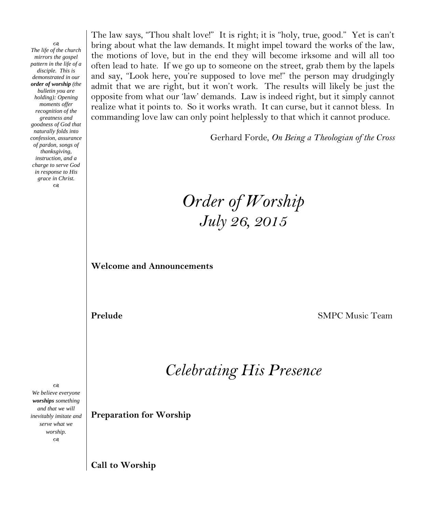CB. *The life of the church mirrors the gospel pattern in the life of a disciple. This is demonstrated in our order of worship (the bulletin you are holding): Opening moments offer recognition of the greatness and goodness of God that naturally folds into confession, assurance of pardon, songs of thanksgiving, instruction, and a charge to serve God in response to His grace in Christ.*  $\infty$ 

The law says, "Thou shalt love!" It is right; it is "holy, true, good." Yet is can't bring about what the law demands. It might impel toward the works of the law, the motions of love, but in the end they will become irksome and will all too often lead to hate. If we go up to someone on the street, grab them by the lapels and say, "Look here, you're supposed to love me!" the person may drudgingly admit that we are right, but it won't work. The results will likely be just the opposite from what our 'law' demands. Law is indeed right, but it simply cannot realize what it points to. So it works wrath. It can curse, but it cannot bless. In commanding love law can only point helplessly to that which it cannot produce.

Gerhard Forde, *On Being a Theologian of the Cross*

# *Order of Worship July 26, 2015*

**Welcome and Announcements**

**Prelude SMPC** Music Team

*Celebrating His Presence*

**Preparation for Worship**

*We believe everyone worships something and that we will inevitably imitate and serve what we worship.*  $\infty$ 

 $\infty$ 

**Call to Worship**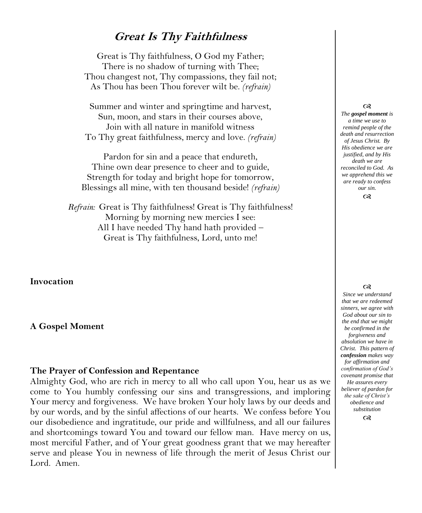## **Great Is Thy Faithfulness**

Great is Thy faithfulness, O God my Father; There is no shadow of turning with Thee; Thou changest not, Thy compassions, they fail not; As Thou has been Thou forever wilt be. *(refrain)*

Summer and winter and springtime and harvest, Sun, moon, and stars in their courses above, Join with all nature in manifold witness To Thy great faithfulness, mercy and love. *(refrain)*

Pardon for sin and a peace that endureth, Thine own dear presence to cheer and to guide, Strength for today and bright hope for tomorrow, Blessings all mine, with ten thousand beside! *(refrain)*

*Refrain:* Great is Thy faithfulness! Great is Thy faithfulness! Morning by morning new mercies I see: All I have needed Thy hand hath provided – Great is Thy faithfulness, Lord, unto me!

**Invocation**

#### **A Gospel Moment**

### **The Prayer of Confession and Repentance**

Almighty God, who are rich in mercy to all who call upon You, hear us as we come to You humbly confessing our sins and transgressions, and imploring Your mercy and forgiveness. We have broken Your holy laws by our deeds and by our words, and by the sinful affections of our hearts. We confess before You our disobedience and ingratitude, our pride and willfulness, and all our failures and shortcomings toward You and toward our fellow man. Have mercy on us, most merciful Father, and of Your great goodness grant that we may hereafter serve and please You in newness of life through the merit of Jesus Christ our Lord. Amen.

#### $\infty$

*The gospel moment is a time we use to remind people of the death and resurrection of Jesus Christ. By His obedience we are justified, and by His death we are reconciled to God. As we apprehend this we are ready to confess our sin.*

 $\infty$ 

#### $\infty$

*Since we understand that we are redeemed sinners, we agree with God about our sin to the end that we might be confirmed in the forgiveness and absolution we have in Christ. This pattern of confession makes way for affirmation and confirmation of God's covenant promise that He assures every believer of pardon for the sake of Christ's obedience and substitution*

 $\infty$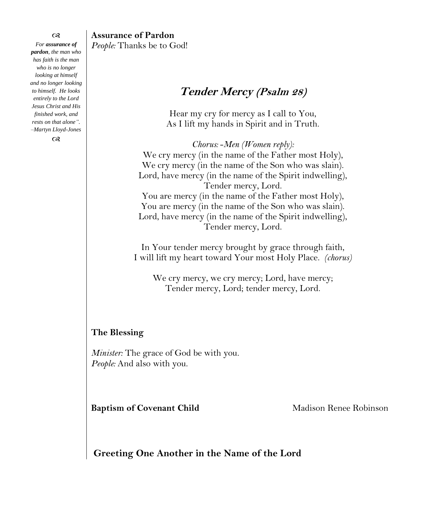$^{c8}$ *For assurance of pardon, the man who has faith is the man who is no longer looking at himself and no longer looking to himself. He looks entirely to the Lord Jesus Christ and His finished work, and rests on that alone". –Martyn Lloyd-Jones*

 $\infty$ 

### **Assurance of Pardon** *People:* Thanks be to God!

# **Tender Mercy (Psalm 28)**

Hear my cry for mercy as I call to You, As I lift my hands in Spirit and in Truth.

*Chorus:* -*Men (Women reply):* We cry mercy (in the name of the Father most Holy), We cry mercy (in the name of the Son who was slain). Lord, have mercy (in the name of the Spirit indwelling), Tender mercy, Lord. You are mercy (in the name of the Father most Holy), You are mercy (in the name of the Son who was slain). Lord, have mercy (in the name of the Spirit indwelling), Tender mercy, Lord.

In Your tender mercy brought by grace through faith, I will lift my heart toward Your most Holy Place. *(chorus)*

We cry mercy, we cry mercy; Lord, have mercy; Tender mercy, Lord; tender mercy, Lord.

### **The Blessing**

*Minister:* The grace of God be with you. *People:* And also with you.

**Baptism of Covenant Child Madison Renee Robinson** 

**Greeting One Another in the Name of the Lord**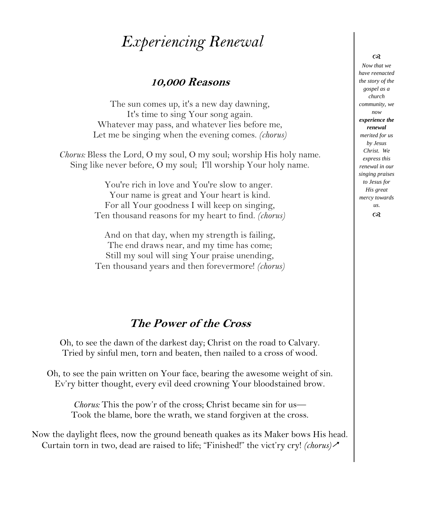# *Experiencing Renewal*

## **10,000 Reasons**

The sun comes up, it's a new day dawning, It's time to sing Your song again. Whatever may pass, and whatever lies before me, Let me be singing when the evening comes. *(chorus)*

*Chorus:* Bless the Lord, O my soul, O my soul; worship His holy name. Sing like never before, O my soul; I'll worship Your holy name.

> You're rich in love and You're slow to anger. Your name is great and Your heart is kind. For all Your goodness I will keep on singing, Ten thousand reasons for my heart to find. *(chorus)*

> And on that day, when my strength is failing, The end draws near, and my time has come; Still my soul will sing Your praise unending, Ten thousand years and then forevermore! *(chorus)*

# **The Power of the Cross**

Oh, to see the dawn of the darkest day; Christ on the road to Calvary. Tried by sinful men, torn and beaten, then nailed to a cross of wood.

Oh, to see the pain written on Your face, bearing the awesome weight of sin. Ev'ry bitter thought, every evil deed crowning Your bloodstained brow.

*Chorus:* This the pow'r of the cross; Christ became sin for us— Took the blame, bore the wrath, we stand forgiven at the cross.

Now the daylight flees, now the ground beneath quakes as its Maker bows His head. Curtain torn in two, dead are raised to life; "Finished!" the vict'ry cry! *(chorus)*

#### $\infty$

*Now that we have reenacted the story of the gospel as a church community, we now experience the renewal merited for us by Jesus Christ. We express this renewal in our singing praises to Jesus for His great mercy towards us.*  $\infty$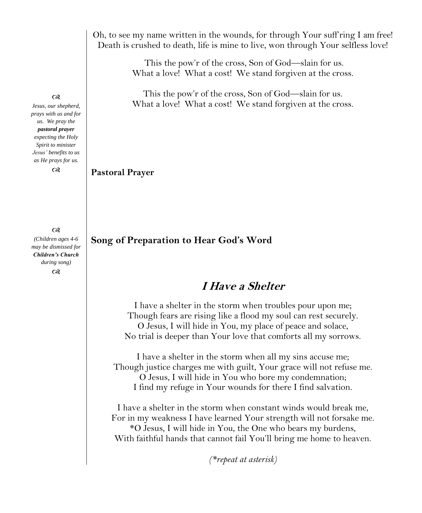Oh, to see my name written in the wounds, for through Your suff'ring I am free! Death is crushed to death, life is mine to live, won through Your selfless love!

> This the pow'r of the cross, Son of God—slain for us. What a love! What a cost! We stand forgiven at the cross.

> This the pow'r of the cross, Son of God—slain for us. What a love! What a cost! We stand forgiven at the cross.

### **Pastoral Prayer**

**Song of Preparation to Hear God's Word**

# **I Have a Shelter**

I have a shelter in the storm when troubles pour upon me; Though fears are rising like a flood my soul can rest securely. O Jesus, I will hide in You, my place of peace and solace, No trial is deeper than Your love that comforts all my sorrows.

I have a shelter in the storm when all my sins accuse me; Though justice charges me with guilt, Your grace will not refuse me. O Jesus, I will hide in You who bore my condemnation; I find my refuge in Your wounds for there I find salvation.

I have a shelter in the storm when constant winds would break me, For in my weakness I have learned Your strength will not forsake me. \*O Jesus, I will hide in You, the One who bears my burdens, With faithful hands that cannot fail You'll bring me home to heaven.

*(\*repeat at asterisk)*

#### $\infty$

*Jesus, our shepherd, prays with us and for us. We pray the pastoral prayer expecting the Holy Spirit to minister Jesus' benefits to us as He prays for us.*

 $\infty$ 

 $^{cs}$ 

*(Children ages 4-6 may be dismissed for Children's Church during song)*  $\infty$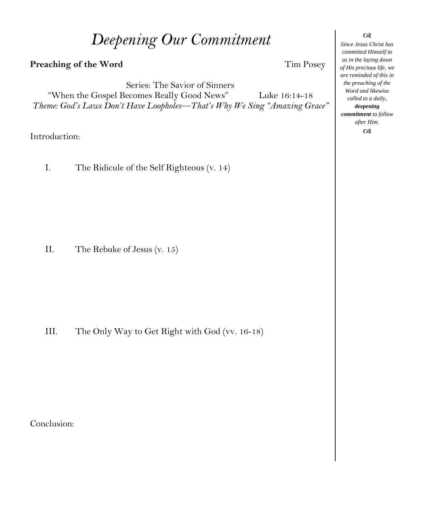# *Deepening Our Commitment*

## **Preaching of the Word Tim Posey**

Series: The Savior of Sinners "When the Gospel Becomes Really Good News" Luke 16:14-18 *Theme: God's Laws Don't Have Loopholes—That's Why We Sing "Amazing Grace"*

Introduction:

I. The Ridicule of the Self Righteous (v. 14)

II. The Rebuke of Jesus (v. 15)

III. The Only Way to Get Right with God (vv. 16-18)

Conclusion:

 $\infty$ 

*Since Jesus Christ has committed Himself to us in the laying down of His precious life, we are reminded of this in the preaching of the Word and likewise called to a daily, deepening commitment to follow after Him.*  $\alpha$